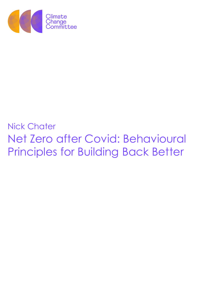

# **Nick Chater** Net Zero after Covid: Behavioural Principles for Building Back Better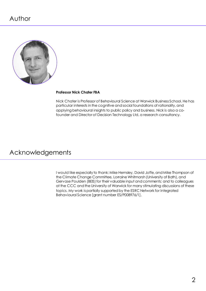<span id="page-1-0"></span>

### **Professor Nick Chater FBA**

Nick Chater is Professor of Behavioural Science at Warwick Business School. He has particular interests in the cognitive and social foundations of rationality, and applying behavioural insights to public policy and business. Nick is also a cofounder and Director of Decision Technology Ltd, a research consultancy.

## <span id="page-1-1"></span>Acknowledgements

I would like especially to thank: Mike Hemsley, David Joffe, and Mike Thompson of the Climate Change Committee, Lorraine Whitmarsh (University of Bath), and Gervase Poulden (BEIS) for their valuable input and comments; and to colleagues at the CCC and the University of Warwick for many stimulating discussions of these topics. My work is partially supported by the ESRC Network for Integrated Behavioural Science [grant number ES/P008976/1].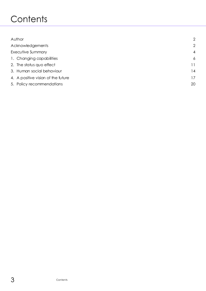## Contents

| Author                             | 2  |
|------------------------------------|----|
| <b>Acknowledgements</b>            |    |
| Executive Summary                  |    |
| 1. Changing capabilities           | 6  |
| 2. The status quo effect           |    |
| 3. Human social behaviour          | 14 |
| 4. A positive vision of the future | 17 |
| 5. Policy recommendations          | 20 |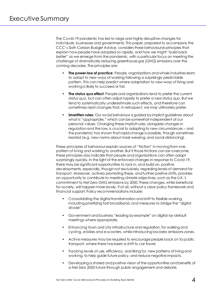<span id="page-3-0"></span>The Covid-19 pandemic has led to large and highly disruptive changes for individuals, businesses and governments. This paper, prepared to accompany the CCC's Sixth Carbon Budget Advice, considers three behavioural principles that explain how people have adapted so rapidly, and how we might "build back better" as we emerge from the pandemic, with a particular focus on meeting the challenge of dramatically reducing greenhouse gas (GHG) emissions over the coming decades. The principles are:

- **The power law of practice**: People, organizations and whole industries learn to adapt to new ways of working following a surprisingly predictable pattern. This can help predict where adaptation to new ways of living and working is likely to succeed or fail.
- **The status quo effect**: People and organizations tend to prefer the current status quo, but can often adjust rapidly to prefer a new status quo. But we tend to systematically underestimate such effects, and therefore can sometimes resist changes that, in retrospect, we may ultimately prefer.
- **Unwritten rules:** Our social behaviour is guided by implicit guidelines about what is "appropriate," which can be somewhat independent of our personal values. Changing these implicit rules, alongside changes in regulation and the law, is crucial to adapting to new circumstances – and the pandemic has shown that rapid change is possible, though sometimes resisted (e.g. new norms about mask wearing, and social distancing).

These principles of behaviour explain sources of "friction" in moving from one pattern of living and working to another. But if those frictions can be overcome, these principles also indicate that people and organizations can often adapt surprisingly quickly. In the light of the enforced changes in response to Covid-19, there may be significant opportunities to lock in, and build on, positive developments, especially, though not exclusively, regarding levels of demand for transport. Moreover, actively promoting these, and further positive shifts, provides an opportunity to contribute to meeting climate objectives, such as the U.K.'s commitment to Net Zero GHG emissions by 2050. These changes, while beneficial for society, will happen more slowly, if at all, without a clear policy framework and financial support. Policy recommendations include:

- Consolidating the digital transformation and shift to flexible working, including prioritizing fast broadband, and measures to bridge the "digital divide".
- Government and business "leading by example" on digital-by-default meetings where appropriate.
- Enhancing town and city infrastructure and regulation, for walking and cycling, e-bikes and e-scooters, while introducing low/zero emissions zones.
- Active measures may be required to encourage people back on to public transport, where there has been a shift to car travel.
- Tracking levels of use, efficiency, and liking for, new patterns of living and working, to help guide future policy, and reduce negative impacts.
- Developing a shared and positive vision of the opportunities and benefits of a Net Zero 2050 future through public engagement and debate.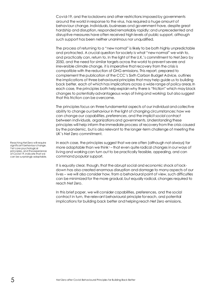Covid-19, and the lockdowns and other restrictions imposed by governments around the world in response to the virus, has required a huge amount of behaviour change. Individuals, businesses and government have, despite great hardship and disruption, responded remarkably rapidly; and unprecedented and disruptive measures have often received high levels of public support, although such support has been neither unanimous nor unqualified.

The process of returning to a "new normal" is likely to be both highly unpredictable and protracted. A crucial question for society is what "new normal" we wish to, and practically can, return to. In the light of the U.K.'s commitment to Net Zero by 2050, and the need for similar targets across the world to prevent severe and irreversible climate change, it is imperative that recovery from the crisis is compatible with the reduction of GHG emissions. This report, prepared to complement the publication of the CCC's Sixth Carbon Budget Advice, outlines the implications of three behavioural principles that may help guide us to building back better, each of which has implications across a wide range of policy areas. In each case, the principles both help explain why there is "friction" which may block changes to potentially advantageous ways of living and working; but also suggest that this friction can be overcome.

The principles focus on three fundamental aspects of our individual and collective ability to change our behaviour in the light of changing circumstances: how we can change our *capabilities*, *preferences*, and the implicit *social contract* between individuals, organizations and governments. Understanding these principles will help inform the immediate process of recovery from the crisis caused by the pandemic, but is also relevant to the longer-term challenge of meeting the UK's Net Zero commitment.

In each case, the principles suggest that we are often (although not always) far more adaptable than we think<sup>1</sup> – that even quite radical changes in our ways of living and working can turn out to be practically feasible, appealing, and can command popular support.

It is equally clear, though, that the abrupt social and economic shock of lockdown has also created enormous disruption and damage to many aspects of our lives – we will also consider how, from a behavioural point of view, such difficulties can be minimized for the more gradual, but equally radical, changes required to reach Net Zero.

In this brief paper, we will consider capabilities, preferences, and the social contract in turn, the relevant behavioural principle for each, and potential implications for building back better and helping reach Net Zero emissions.

Reaching Net Zero will require significant behaviour change. Yet core psychological principles, and the experience of Covid-19, indicate that we can be surprisingly adaptable.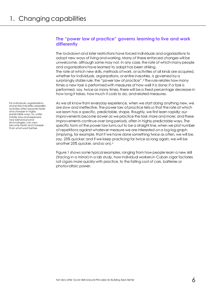## <span id="page-5-0"></span>**The "power law of practice" governs learning to live and work differently**

The lockdown and later restrictions have forced individuals and organizations to adopt new ways of living and working. Many of these enforced changes will be unwelcome, although some may not. In any case, the rate of which many people and organizations have learned to adapt has been striking. The rate at which new skills, methods of work, or activities of all kinds are acquired, whether for individuals, organizations, or entire industries, is governed by a surprisingly stable rule: the "power law of practice". <sup>2</sup> The rule relates how many times a new task is performed with measures of how well it is done: if a task is

performed, say, twice as many times, there will be a *fixed percentage* decrease in

how long it takes, how much it costs to do, and related measures.

As we all know from everyday experience, when we start doing anything new, we are slow and ineffective. The power law of practice tells us that the rate at which we learn has a specific, predictable, shape. Roughly, we first learn rapidly; our improvements become slower as we practice the task more and more; and these improvements continue over long periods, often in highly predictable ways. The specific form of the power law turns out to be a straight line, when we plot number of repetitions against whatever measure we are interested on a log-log graph (implying, for example, that if we have done something twice as often, we will be, say, 25% quicker; and if we keep practicing for twice as long again, we will be another 25% quicker, and so on).<sup>3</sup>

Figure 1 shows some typical examples, ranging from how people learn a new skill (tracing in a mirror) in a lab study, how individual workers in Cuban cigar factories roll cigars more quickly with practice, to the falling cost of cars, batteries or photovoltaic power.

For individuals, organizations, and entire industries, repeated activities often become faster and cheaper in highly predictable ways. So, while initially slow and expensive, new behaviours and technologies, can soon become faster and cheaper than what went before.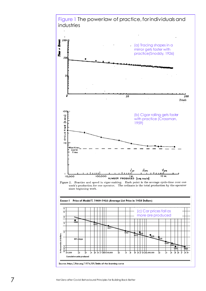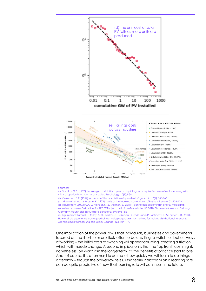

One implication of the power law is that individuals, businesses and governments focused on the short-term are likely often to be unwilling to switch to "better" ways of working – the initial costs of switching will appear daunting, creating a friction which will impede change. A second implication is that the "up front" cost might, nonetheless, be worth it in the longer term, as the benefits of practice start to bite. And, of course, it is often hard to estimate how quickly we will learn to do things differently – though the power law tells us that early indications on a learning rate can be quite predictive of how that learning rate will continue in the future.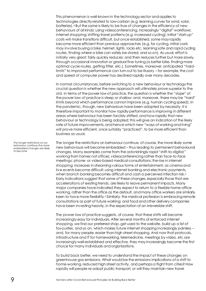This phenomenon is well-known in the technology sector and applies to technologies directly related to low-carbon (e.g. learning curves for wind, solar, batteries).<sup>4</sup> But the same is likely to be true of changes in the efficiency of new behaviours of all kinds: using videoconferencing, increasingly "digital" workflows; internet shopping; shifting travel patterns (e.g. increased cycling). Initial "start-up" costs will make transitions difficult, but once established, some may rapidly become more efficient than previous approaches (e.g. for cycling, initial costs may involve buying a bike, helmet, lights, locks etc, learning safe and rapid cycling routes, finding where a bike can safely be stored, and so on). As usual, effort is initially very great; fairly quickly reduces; and then reduces further but more slowly, through occasional innovation or gradual fine-tuning (a better bike, finding more optimal cycle routes, getting fitter, etc.). Sometimes, moreover, anticipated "hardlimits" to improved performance can turn out to be illusory – for example, the cost and speed of computer power has declined rapidly over many decades.

In normal circumstances, before switching to a new behaviour or technology the crucial question is whether the new approach will ultimately prove superior to the old. In terms of the power law of practice, the question is whether the "slope" of the power law of practice is steep or shallow; and, moreover, there may be "hard" limits beyond which performance cannot improve (e.g. human cycling speed). In the pandemic, though, new behaviours have been adopted by necessity. It is therefore important to monitor how rapidly performance is improving in different areas where behaviour has been forcibly shifted, and how rapidly that new behaviour or technology is being adopted; this will give an indication of the likely rate of future improvements, and hence which new "ways of working and living" will prove more efficient, once suitably "practiced", to be more efficient than business as usual.

The longer the restrictions on behaviour continue, of course, the more likely some new behaviours will become embedded – thus leading to permanent behavioural changes. Many examples come from the astonishingly rapid "shift-to-digital:" working from homes not offices; videoconferencing rather than face-to-face meetings; phone- or video-based medical consultations; the rise in internet shopping; increases in streaming various forms of entertainment, as cinema and live events become difficult; using internet banking and electronic payments, when branch banking becomes difficult and cash a perceived infection risk.<sup>5</sup> Early indications suggest that some of these changes, especially those that are accelerations of existing trends, are likely to leave permanent impacts. Many major companies have indicated they expect to return to a flexible home-office working, rather than the office as the default, and many office workers are similarly keen to have more flexibility.<sup>6</sup> Similarly, the medical profession is embracing remote consultations as part of future working; and food and other delivery companies have been investing heavily, in the expectation of an irreversible shift.

The power law of practice suggests, of course, that these shifts will become increasingly easy for individuals. After several months of enforced internet shopping, we find our preferred shop, get used to the website, build up a list of favourites, and so on, which makes future internet shopping increasingly painless – and, for many people, easier than high street shopping. And now that protocols, infrastructure and IT for homeworking, telemedicine, meetings by video, etc are increasingly well-established and effective, they may increasingly become the first choice for many individuals and organizations.

To build back better, we need to understand the impact of these changes on greenhouse gas emissions. What would be the emissions implications of a shift to home-working, reduced high street activity, and perhaps a flight from cities? How rapidly will people re-adopt public transport, or will they maintain new travel

The longer restrictions on our behaviour continue, the more embedded changes are likely to become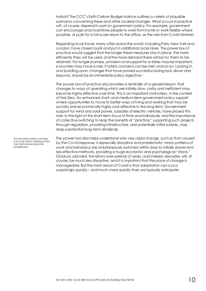habits? The CCC's Sixth Carbon Budget Advice outlines a variety of plausible scenarios concerning these and other societal changes. What occurs in practice will, of course, depend in part on government policy. For example, government can encourage and incentivise people to work from home or work flexibly where possible, or push for a full-scale return to the office, as the risks from Covid diminish.

Regarding local travel, many cities across the world, including Paris, New York and London, have closed roads and put in additional cycle lanes. The power law of practice would suggest that the longer these measures stay in place, the more efficiently they will be used, and the more demand there will be for them to be retained. For longer journeys, provision and support for e-bikes may be important; e-scooters may have a role, if safety concerns can be met; and so on. Locking in, and building upon, changes that have proved successful during lock-down and beyond, should be an immediate policy objective.<sup>7</sup>

The power law of practice also provides a reminder of a general lesson: that changes to ways of operating which are initially slow, costly and inefficient may become highly effective over time. This is an important motivation, in the context of Net Zero, for enhanced short- and medium-term government policy support where opportunities to move to better ways of living and working that may be socially and economically highly cost-effective in the long term. Government support for wind and solar power, subsidies of electric vehicles, have played this role. In the light of the short-term focus of firms and individuals, and the importance of collective switching to reap the benefits of "practice," supporting such projects through regulation, providing infrastructure, and potentially initial subsidy, may reap substantial long-term dividends.

Government policy can play a crucial role in shaping which new behaviours become established.

The power law also helps understand why very rapid change, such as that caused by the Covid response, is especially disruptive and problematic: many patterns of work and behaviour are simultaneously switched within days to initially slower and less effective methods, providing a huge economic and psychological "shock." Gradual, planned, transitions over periods of years, and indeed, decades, will, of course, be much less disruptive, and it is important that the pace of change is manageable. But the main lesson of Covid is that adaptation can occur surprisingly quickly – and much more quickly than we typically anticipate.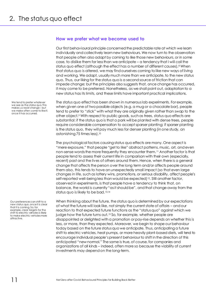### <span id="page-10-0"></span>**How we prefer what we become used to**

Our first behavioural principle concerned the predictable rate at which we learn individually and collectively learn new behaviours. We now turn to the observation that people often also adapt by coming to like those new behaviours, or in some case, to dislike them far less than we anticipate – a tendency that I will call the status quo effect (although the effect has a number of different causes). <sup>8</sup> When that status quo is altered, we may find ourselves coming to like new ways of living and working. We adapt, usually much more than we anticipate, to the new status quo. Thus, our liking for the status quo is a second source of friction that can impede change; but the principles also suggests that, once change has occurred, it may come to be preferred. Nonetheless, as we shall point out, adaptation to a new status has its limits, and these limits have important practical implications.

The status quo effect has been shown in numerous lab experiments. For example, when given one of two possible objects (e.g. a mug or a chocolate bar), people tend to prefer to "stick" with what they are originally given rather than swap to the other object.<sup>9</sup> With respect to public goods, such as trees, status quo effects are substantial: if the status quo is that a park will be planted with dense trees, people require considerable compensation to accept sparser planting; if sparser planting is the status quo, they will pay much less for denser planting (in one study, an astonishing 75 times less).<sup>10</sup>

The psychological factors causing status quo effects are many. One aspect is "mere exposure," that people "get to like" abstract patterns, music, art, and even non-sense words the more frequently they encounter them.<sup>11</sup> Another factor is that people tend to assess their current life in comparison with their own (especially, recent) past and the lives of others around them. Hence, when there is a general change that affects the person over the long term and/or affects people around them also, this tends to have an unexpectedly small impact (so that even large changes in life, such as lottery wins, promotions, or serious disability, affect people's self-reported well-being less than would be expected)<sup>12</sup>. Still another factor, observed in experiments, is that people have a tendency to think that, on balance, the world is currently "as it should be", and that change away from the status quo is likely to be bad.<sup>13,14</sup>

When thinking about the future, the status quo is determined by our expectations of what the future will look like, not simply the current state of affairs – and our reaction to that expected future functions as the "status quo" against which we judge how the future turns out.<sup>15</sup> So, for example, whether people are disappointed or delighted with a promotion or pay-rise depends on whether this is less, or more, than they expected. Moreover, we begin to shape our behaviour today based on the future status quo we anticipate. Thus, anticipating a future shift to electric vehicles, heat pumps, or more heavily plant-based diets, will tend to encourage individual people's present behaviour to shift in the direction of this anticipated "new normal." The same is true, of course, for companies and organizations of all kinds – indeed, often more so because the viability of current investments may depend on the long-term.

We tend to prefer whatever we see as the status quo. This makes us resist change – but we make often come to like it, once it has occurred.

Our preferences can shift to a new status quo, once it is clear that it is coming. So, for example, clear targets for the shift to electric vehicles is likely to make electric vehicles more attractive.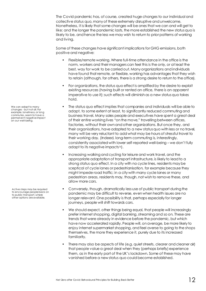The Covid pandemic has, of course, created huge changes to our individual and collective status quo, many of these extremely disruptive and unwelcome. Nonetheless, it is likely that some changes will be ones that we can and will get to like; and the longer the pandemic lasts, the more established the new status quo is likely to be, and hence the less we may wish to return to prior patterns of working and living.

Some of these changes have significant implications for GHG emissions, both positive and negative:

- Flexible/remote working. Where full-time attendance in the office is the norm, workers and their managers can feel this is the only, or at least the best, way for work to be carried out. Many organizations and individuals have found that remote, or flexible, working has advantages that they wish to retain (although, for others, there is a strong desire to return to the office).
- For organizations, the status quo effect is amplified by the desire to exploit existing resources (having built or rented an office, there is an apparent imperative to use it); such effects will diminish as a new status quo takes hold.
- The status quo effect implies that companies and individuals will be able to adapt, to some extent at least, to significantly reduced commuting and business travel. Many sales people and executives have spent a great deal of their entire working lives "on the move," travelling between offices, factories, without their own and other organizations. But once they, and their organisations, have adapted to a new status quo with less or no travel, many will be very reluctant to add what may be hours of stressful travel to their working day. (Indeed, long-term commuting is, interestingly, consistently associated with lower self-reported well-being – we don't fully adapt to its negative impacts16).
- Increasing walking and cycling for leisure and work travel, and the appropriate adaptation of transport infrastructure, is likely to lead to a strong status quo effect. In a city with no cycle lines, residents may be sceptical of cycle lanes or pedestrianisation, for example because they might impede road traffic; in a city with many cycle lanes or many pedestrian areas, residents may, though, not wish to remove these, and allow more cars.
- Conversely, though, dramatically less use of public transport during the pandemic may be difficult to reverse, even when health issues are no longer relevant. One possibility is that, perhaps especially for longer journeys, people will shift towards cars.
- We should expect, other things being equal, that people will increasingly prefer internet shopping, digital banking, streaming and so on. These are trends that were already in evidence before the pandemic, but which have now accelerated rapidly. People will, on average, be more likely to enjoy internet supermarket shopping, and feel averse to going to the shops themselves, the more they experience it, purely due to its increased familiarity.
- There may also be aspects of life (e.g. quiet streets, clearer and cleaner air) that people value a great deal when they (perhaps briefly) experience them, as in the early part of the UK's lockdown. Some of these may have vanished before a new status quo could become established.

We can adapt to many changes - but not all. For example, loneliness, or long commutes, seem to have a permanent negative impact on our well-being.

Active steps may be required to encourage people back on to public transport, where other options are available.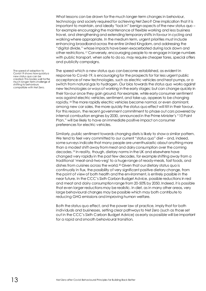What lessons can be drawn for the much longer-term changes in behaviour, technology and society required for achieving Net Zero? One implication that it is important to maintain, and ideally "lock in" benign aspects of the new status quo – for example encouraging the maintenance of flexible working and less business travel, and strengthening and extending temporary shifts in favour in cycling and walking where appropriate. In the medium term, urgent priorities must include enhancing broadband across the entire United Kingdom, and addressing the "digital divide," whose impacts have been exacerbated during lock down and other restrictions.<sup>17</sup> Conversely, encouraging people to re-engage in large numbers with public transport, when safe to do so, may require cheaper fares, special offers and publicity campaigns.

The speed which a new status quo can become established, as evident in response to Covid-19, is encouraging for the prospects for far less urgent public acceptance of new technologies, such as electric vehicles and heat pumps, or a switch from natural gas to hydrogen. Our bias towards the status quo works against new technologies or ways of working in the early stages; but can change quickly in their favour once they gain ground. For example, while early consumer sentiment was against electric vehicles, sentiment, and take-up, appears to be changing rapidly.<sup>18</sup> The more rapidly electric vehicles become normal, or even dominant, among new car sales, the more quickly the status quo effect will tilt in their favour. For this reason, the recent government commitment to phase out cars powered by internal combustion engines by 2030, announced in the Prime Minister's "10 Point Plan," will be likely to have an immediate positive impact on consumer preferences for electric vehicles.

Similarly, public sentiment towards changing diets is likely to show a similar pattern. We tend to feel very committed to our current "status quo" diet – and, indeed, some surveys indicate that many people are unenthusiastic about anything more than a modest shift away from meat and dairy consumption over the coming decades.<sup>19</sup> In reality, though, dietary norms in the UK and elsewhere have changed very rapidly in the past few decades, for example shifting away from a traditional 'meat-and-two-veg' to a huge range of ready-meals, fast foods, and dishes from cuisines across the world.<sup>20</sup> Given that our dietary status quo is continually in flux, the possibility of very significant positive dietary change, from the point of view of both health and the environment, is entirely possible in the near future. In the CCC's Sixth Carbon Budget Advice, possible reductions in red and meat and dairy consumption range from 20-50% by 2050. Indeed, it is possible that even larger reductions may be realistic. In diet, as in many other areas, very large behavioural changes may be possible which may both contribute to reducing GHG emissions and improving human welfare.

Both the status quo effect, and the power law of practice, imply that for both individuals and businesses, setting clear pathways to Net Zero (such as those set out in the CCC's Sixth Carbon Budget Advice) as early as possible will be important for a rapid and smooth behavioural transition.

The speed of adaption to Covid-19 shows how quickly a new status quo can be created. This bodes well for the much longer-term challenge of shifting to behaviours compatible with Net Zero.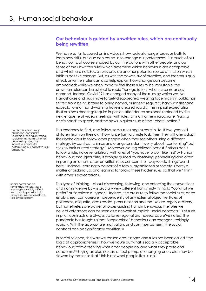## <span id="page-13-0"></span>**Our behaviour is guided by unwritten rules, which are continually being rewritten**

We have so far focussed on individuals: how radical change forces us both to learn new skills, but also can cause us to change our preferences. But much of our behaviour is, of course, shaped by our interactions with other people, and our sense of the unwritten rules which determine which behaviours are acceptable and which are not. Social rules provide another potential source of friction which inhibits positive change. But, as with the power law of practice, and the status quo effect, unwritten rules can also help explain how change can become embedded: while we often implicitly feel these rules to be immutable, the unwritten rules can be subject to rapid "renegotiation" when circumstances demand. Indeed, Covid-19 has changed many of the rules by which we live. Handshakes and hugs have largely disappeared; wearing face masks in public has shifted from being bizarre to being normal, or indeed required; hand-sanitizer and expectations of hand-washing have increased rapidly. The implicit expectation that business meetings require in-person attendance has been replaced by the new etiquette of video meetings, with rules for muting the microphone, "raising one's hand" to speak, and the now ubiquitous use of the "chat function."

This tendency to find, and follow, social rules begins early in life. If two-year-old children learn on their own how to perform a simple task, then they will later adapt their behaviour to follow other people when they see others using a different strategy. By contrast, chimps and orangutans don't worry about "conforming" but stick to their current strategy.<sup>21</sup> Moreover, young children protest if others don't follow a rule, however arbitrary, with cries of "you have to do it like this!". <sup>22</sup> Human behaviour, throughout life, is strongly guided by observing, generalizing and often imposing on others, often unwritten rules concern the "way we do things round here." Indeed, learning to be part of a family, organization or society is partly a matter of picking up, and learning to follow, these hidden rules, so that we "fit in" with other's expectations.

This type of thinking – about discovering, following, and enforcing the conventions and norms we live by – is crucially very different from simply trying to "do what we prefer" or "achieve our goals." Indeed, the pressure to follow the social rules, once established, can operate independently of any external objective. Rules of politeness, etiquette, dress codes, pronunciation and the like are largely arbitrary – but nonetheless are powerful forces guiding human behaviour. The rules we collectively adopt can be seen as a network of implicit "social contracts." Yet such implicit contracts are always up for renegotiation. Indeed, as we've noted, the pandemic has taught us that "appropriate" behaviour can change surprisingly rapidly. With the appropriate motivation, and common consent, the social contract can be significantly rewritten.<sup>23</sup>

In social science, the way we reason about norms and rules has been called "the logic of appropriateness": how we figure out what is socially acceptable behaviour, from observing what other people do, and what they praise and condemn.<sup>24</sup> Buying an electric car, a heat pump, or changing one's diet may be slowed by the sense that "this is not what people like us do."

Humans are, from early childhood, continually searching for, and enforcing, social norms. Norms will often be more important than individual choices for determining our collective GHG emissions.

Social norms can be remarkably flexible. Mask wearing has rapidly shifted from socially peculiar to, in many circumstances at least, socially obligatory.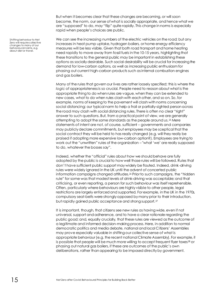But when it becomes clear that these changes are becoming, or will soon become, the norm, our sense of what is socially appropriate, and hence what we are "supposed" to do, may "flip" quite rapidly. This change in norms is especially rapid when people's choices are public.

We can see the increasing numbers of the electric vehicles on the road; but any increases in heat pump uptake, hydrogen boilers, or home energy efficiency measures will be less visible. Given that both road transport and home heating need rapidly to move away from fossil fuels in the 10-15 years, highlighting that these transitions to the general public may be important in establishing these options as socially desirable. Such social desirability will be crucial for increasing the demand for low-carbon options, as well as increasing public enthusiasm for phasing out current high-carbon products such as internal combustion engines and gas boilers.

Many of the rules that govern our lives are rather loosely specified; this is where the *logic* of appropriateness is so crucial. People need to reason about what is the appropriate thing to do when rules are vague, when they can be extended to new cases, what to do when rules clash with each other, and so on. So, for example, norms of keeping to the pavement will clash with norms concerning social distancing; our typical norm to help a frail or partially-sighted person across the road may clash with social distancing rules. There is often no clear "right" answer to such questions. But, from a practical point of view, we are generally attempting to adopt the same standards as the people around us. <sup>25</sup> Mere statements of intent are not, of course, sufficient – governments and companies may publicly declare commitments, but employees may be sceptical that the social contract they will be held to has really changed (e.g. will they really be praised if adopting more expensive low-carbon option?). Employees are trying to work out the "unwritten" rules of the organization – "what 'we' are really supposed to do, whatever the bosses say".

Indeed, whether the "official" rules about how we should behave are fully adopted by the public is crucial to how well those rules will be followed. Rules that don't have sufficient public support may widely be flouted. Indeed, drink-driving rules were widely ignored in the UK until the advent of concerted public information campaigns changed attitudes.<sup>26</sup> Prior to such campaigns, the "hidden rule" for some was that modest levels of drink-driving was acceptable; and that criticising, or even reporting, a person for such behaviour was itself reprehensible. Often, particularly where behaviours are highly visible to other people, legal restrictions are largely enforced and supported. For example, in the UK in the 1970s, compulsory seat-belts were strongly opposed by many prior to their introduction, but rapidly gained public acceptance and strong support.<sup>27</sup>

It is important, though, that citizens see new rules as having wide, even if not universal, support and adherence, and to have a clear rationale regarding the public good; and, equally crucially, that these rules are viewed as the outcome of a legitimate and informed decision-making process. Here, in addition to normal democratic politics and media debate, national and local Citizens' Assemblies may prove especially valuable in shifting our collective sense of what is appropriate behaviour (e.g. the recent national Climate Assembly). For example, it is possible that people will be much more willing to accept frequent flyer taxes $28$  or phasing out natural gas boilers, if these are outcomes of the public's own deliberations, rather than appearing to be imposed directly by government.

Shifting behaviour to Net Zero will require collective changes to many of our behavioural norms, e.g. about diet or travel.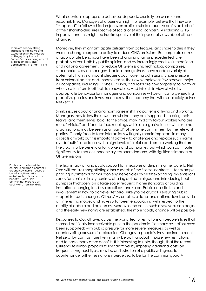What counts as appropriate behaviour depends, crucially, on our role and responsibilities. Managers of a business might, for example, believe that they are "supposed" to follow a hidden (or even explicit) rule to maximize profits on behalf of their shareholders, irrespective of social or ethical concerns,  $29$  including GHG impacts – and this might be true irrespective of their personal views about climate change.

Moreover, they might anticipate criticism from colleagues and shareholders if they were to change corporate policy to reduce GHG emissions. But corporate norms of appropriate behaviour have been changing at an unprecedented rate, probably driven both by public opinion, and by increasingly credible international and national agreements to reduce GHG emissions. Technology companies, supermarkets, asset managers, banks, among others, have made a variety of potentially highly significant pledges about lowering admissions, under pressure from external parties and, in some cases, their own employees.<sup>30</sup> Moreover, major oil companies, including BP, Shell, Equinor, and Total are now proposing to partly or wholly switch from fossil fuels to renewables. And this shift in view of what is appropriate behaviour for managers and companies will be critical to generating proactive policies and investment across the economy that will most rapidly deliver Net Zero.<sup>31</sup>

Similar issues about changing norms arise in shifting patterns of living and working. Managers may follow the unwritten rule that they are "supposed" to bring their teams, and themselves, back to the office; may implicitly favour workers who are more "visible;" and face-to-face meetings within an organization, or with external organizations, may be seen as a "signal" of genuine commitment by the relevant parties. Clearly face-to-face interactions will rightly remain important in many aspects of work; but it is important actively to challenge and replace such norms as "defaults", and to allow the high levels of flexible and remote working that are likely both to be beneficial for workers and companies, but which can contribute significantly to reduce unnecessary transport demand, with significant impacts on GHG emissions.

The legitimacy of, and public support for, measures underpinning the route to Net Zero will require renegotiating other aspects of the "social contract" – for example, phasing out internal combustion engine vehicles by 2030; expanding low emissions zones for vehicles in city centres; phasing out natural gas, and introducing heat pumps or hydrogen, on a large scale; requiring higher standards of building insulation; changing land-use practices; and so on. Public consultation and involvement in how to achieve Net Zero is likely to be crucial is ensuring public support for such changes. Citizens' Assemblies, at local and national level, provide an interesting model, and have so far been encouraging with respect to the quality of debate and outcomes. Moreover, the earlier such discussions can begin, and the early new norms are established, the more rapidly change will be possible.

Responses to Covid have, across the world, led to restrictions on people's lives that seemed politically inconceivable prior to the pandemic. Yet many restrictions have been supported; with public pressure for more severe measures, as well as countervailing pressure for relaxation. Changes to people's lives required to meet Net Zero, by contrast, are likely mainly be both gradual, impose few restrictions, and to have many other benefits. It is interesting to note, though, that the recent Citizen's Assembly proposal to limit air travel by imposing additional costs on frequent, long-haul flyers, may be an illustration of a public willingness to countenance further restrictions if perceived to be for the common good. <sup>32</sup>

There are already strong indications that norms and expectations in business are shifting quickly towards "green" choices being viewed as both ethically and commercially the "right" thing to do.

Public consultation will be crucial to building a consensus around new norms – based on benefits both for GHG emissions, but also other cobenefits, such as less commuting, improved air quality and healthier diets.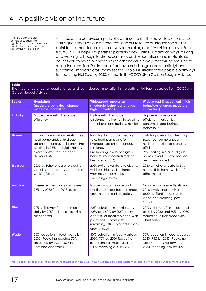The three behavioural principles suggest that significant change is possible – and that we may adapt more rapidly than we expect.

much longer term challenge of

<span id="page-16-0"></span>All three of the behavioural principles outlined here – the power law of practice, status quo effects on our preferences, and our reliance on hidden social rules – point to the importance of collectively formulating a positive vision of a Net Zero future. This will help us to persist in practicing new, initially unfamiliar, ways of living and working; will begin to shape our tastes and expectations; and motivate us collectively to revise our hidden rules of behaviour in ways that will be required to make the transition. The impact of behavioural change can potentially have substantial impacts across many sectors. Table 1 illustrates three possible pathways for reaching Net Zero by 2050, set out in the CCC's Sixth Carbon Budget Advice.

#### **Table 1**

The importance of behavioural change and technological innovation in the path to Net Zero (adapted from CCC Sixth Carbon Budget Advice)

| <b>Sector</b>    | <b>Headwinds</b><br>(moderate behaviour change;<br>moderate innovation)                                                                                                                  | <b>Widespread Innovation</b><br>(moderate behaviour change;<br>high innovation)                                                                                                          | <b>Widespread Engagement (high</b><br>behaviour change; moderate<br>innovation)                                                                                                          |
|------------------|------------------------------------------------------------------------------------------------------------------------------------------------------------------------------------------|------------------------------------------------------------------------------------------------------------------------------------------------------------------------------------------|------------------------------------------------------------------------------------------------------------------------------------------------------------------------------------------|
| Industry         | Moderate levels of resource<br>efficiency                                                                                                                                                | High levels of resource<br>efficiency - driven by innovative<br>techniques and business models                                                                                           | High levels of resource<br>efficiency - driven by<br>consumers and business<br>behaviour                                                                                                 |
| <b>Homes</b>     | Installing low-carbon heating (e.g.<br>heat pump and/or hydrogen<br>boiler) and energy efficiency. Pre-<br>heating in 25% of eligible homes;<br>smart controls reduce heat<br>demand 3%. | Installing low-carbon heating<br>(e.g. heat pump and/or<br>hydrogen boiler) and energy<br>efficiency<br>Pre-heating in 50% of eligible<br>homes; smart controls reduce<br>heat demand 6% | Installing low-carbon heating<br>(e.g. heat pump and/or<br>hydrogen boiler) and energy<br>efficiency<br>Pre-heating in 50% of eligible<br>homes; smart controls reduce<br>heat demand 6% |
| <b>Transport</b> | 2035 switchover date to electric<br>vehicles: moderate shift to home-<br>working/other modes                                                                                             | 2030 switchover date to electric<br>vehicles; high shift to home-<br>working / other modes<br>(including e-bikes)                                                                        | 2030 switchover date to EVs;<br>high shift to home-working /<br>other modes                                                                                                              |
| <b>Aviation</b>  | Passenger demand growth rises<br>25% by 2050 from 2018 levels                                                                                                                            | No behaviour change and<br>continued expected passenger<br>growth on current trajectory                                                                                                  | No growth in leisure flights from<br>2018 levels, and halving of<br>business flights (e.g. due to<br>video-conferencing post-<br>COVID)                                                  |
| <b>Diet</b>      | 20% shift-away from red meat and<br>dairy by 2050; all replaced with<br>plant based                                                                                                      | 20% reduction in emissions by<br>2030 and 50% by 2050; dairy<br>and 20% of meat replaced with<br>plant-based products;<br>remaining 30% replaced by lab-<br>grown meat                   | 20% shift away from meat and<br>dairy by 2030 and 50% by 2050<br>reduction; all replaced with<br>plant based                                                                             |
| <b>Waste</b>     | 50% reduction in food waste by<br>2030. Recycling reaches 70%<br>across UK by 2030 (2025 in<br>Scotland and Wales)                                                                       | 50% reduction in food waste by<br>2030; 75% by 2050 Recycling<br>rate: Same as Headwinds to<br>2030, reaching 80% by 2050                                                                | 50% reduction in food waste by<br>2030; 75% by 2050. Recycling<br>rate: Same as Headwinds to<br>2030, reaching 90% by 2050                                                               |

Note: Behavioural change, regarding forexample diet, home-working, or aviation, could also substantially exceed Widespread Engagement Scenario.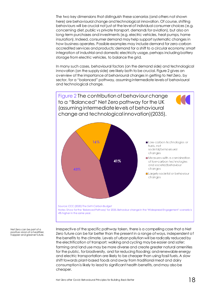The two key dimensions that distinguish these scenarios (and others not shown here) are behavioural change and technological innovation. Of course, shifting behaviours will be crucial not just at the level of individual consumer choices (e.g. concerning diet, public vs private transport, demands for aviation), but also on long-term purchases and investments (e.g. electric vehicles, heat pumps, home insulation). Indeed, consumer demand may help support systematic changes in how business operates. Possible examples may include demand for zero-carbon accredited services and products; demand for a shift to a circular economy; smart integration of industrial and domestic electricity usage, perhaps including battery storage from electric vehicles, to balance the grid.

In many such cases, behavioural factors (on the demand side) and technological innovation (on the supply side) are likely both to be crucial. Figure 2 gives an overview of the importance of behavioural changes in getting to Net Zero, by sector, for a "balanced" pathway, assuming intermediate levels of behavioural and technological change.



Net Zero can be part of a positive vision of a healthier, happier and greener future. Irrespective of the specific pathway taken, there is a compelling case that a Net Zero future can be far better than the present in a range of ways, independent of the benefits to the climate. Levels of urban pollution will be radically reduced by the electrification of transport; walking and cycling may be easier and safer; farming and land use may be more diverse and create greater natural amenities for the public, for biodiversity, and for reducing flooding; and renewable energy and electric transportation are likely to be cheaper than using fossil fuels. A slow shift towards plant-based foods and away from traditional meat and dairy consumption is likely to lead to significant health benefits, and may also be cheaper.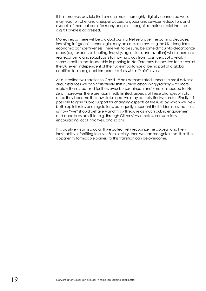It is, moreover, possible that a much more thoroughly digitally connected world may lead to richer and cheaper access to goods and services, education, and aspects of medical care, for many people – though it remains crucial that the digital divide is addressed.

Moreover, as there will be a global push to Net Zero over the coming decades, investing in "green" technologies may be crucial to ensuring the UK's long-term economic competitiveness. There will, to be sure, be some difficult-to-decarbonize areas (e.g. aspects of heating, industry, agriculture, and aviation) where there are real economic and social costs to moving away from fossil fuels. But overall, it seems credible that leadership in pushing to Net Zero may be positive for citizens of the UK, even independent of the huge importance of being part of a global coalition to keep global temperature rises within "safe" levels.

As our collective reaction to Covid-19 has demonstrated, under the most adverse circumstances we can collectively shift our lives astonishingly rapidly – far more rapidly than is required for the slower but sustained transformation needed for Net Zero; moreover, there are, admittedly limited, aspects of these changes which, once they become the new status quo, we may actually find we prefer. Finally, it is possible to gain public support for changing aspects of the rules by which we live – both explicit rules and regulations, but equally important the hidden rules that tel ls us how "we" should behave – and this will require as much public engagement and debate as possible (e.g. through Citizens' Assemblies, consultations, encouraging local initiatives, and so on).

This positive vision is crucial. If we collectively recognize the appeal, and likely inevitability, of shifting to a Net Zero society, then we can recognize, too, that the apparently formidable barriers to this transition can be overcome.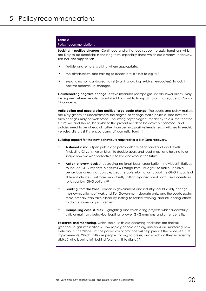#### <span id="page-19-0"></span>**Table 2**

### Policy recommendations

**Locking in positive changes.** Continued and enhanced support to assist transitions which are likely to be beneficial in the long term, especially those which are already underway. This includes support for:

- flexible and remote working where appropriate,
- the infrastructure and training to accelerate a "shift to digital,"
- expanding non-car-based travel (walking, cycling, e-bikes, e-scooters) to lock in positive behavioural changes.

**Counteracting negative change.** Active measures (campaigns, initially lower prices) may be required where people have shifted from public transport to car travel, due to Covid-19 concerns.

**Anticipating and accelerating positive large-scale change.** The public and policy makers are likely greatly to underestimate the degree of change that is possible, and how far such changes may be welcomed. The strong psychological tendency to assume that the future will, and should, be similar to the present needs to be actively corrected; and policies need to be ahead of, rather than behind, positive trends (e.g. switches to electric vehicles, dietary shifts, encouraging UK domestic tourism)

#### **Building support for the new behaviours required for a Net Zero recovery.**

- **A shared vision:** Open public and policy debate at national and local levels (including Citizens' Assemblies) to decide goals and road-map; and helping to reshape how we want collectively to live and work in the future.
- **Action at every level:** encouraging national, local, organisation, individual initiatives to reduce GHG impacts. Measures will range from "nudges" to make "positive" behaviours as easy as possible; clear, reliable information about the GHG impacts of different choices; but more importantly shifting organizational norms and incentives to favour low GHG options.<sup>33</sup>
- **Leading from the front:** Leaders in government and industry should visibly change their own patterns of work and life. Government departments, and the public sector more broadly, can take a lead by shifting to flexible working, and influencing others to do the same via procurement.
- **Compelling case studies:** Highlighting and celebrating projects which successfully shift, or maintain, behaviour leading to lower GHG emissions and other benefits.

**Research and monitoring.** Which social shifts are occurring and what are their full greenhouse gas implications? How rapidly people and organizations are mastering new behaviours (the "slope" of the power law of practice will help predict the pace of future improvement). Which shifts are people coming to prefer, and which do they increasingly dislike? Who is being left behind (e.g. a shift to digital)?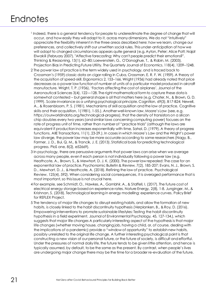## Endnotes

- <sup>1</sup> Indeed, there is a general tendency for people to underestimate the degree of change that will occur, and how easily they will adapt to it, across many dimensions. We do not "intuitively" appreciate the flexibility inherent in the three areas described here: how we learn, change our preferences, and collectively shift our unwritten social rules. This under-anticipation of how we will adapt to changed circumstances appears quite general (e.g. Ayton, Peter; Alice Pott; Najat Elwakili (February 2007). "Affective forecasting: Why can't people predict their emotions?". Thinking & Reasoning, 13(1), 62–80; Loewenstein, G., O'Donoghue, T., & Rabin, M. (2003). Projection Bias in Predicting Future Utility. The Quarterly Journal of Economics. 118(4), 1209–1248.
- 2 The power law of practice is the term widely used in psychology, and is traced back to Crossman's (1959) classic data on cigar rolling in Cuba, Crossman, E. R. F. W. (1959). A theory of the acquisition of speed-skill. Ergonomics 2, 153–166. Wright (1936) had already noted that price decreases as a power law function of number of units of a particular model produced in aircraft manufacture. Wright, T. P. (1936), 'Factors affecting the cost of airplanes', Journal of the Aeronautical Sciences 3(4), 122—128. The right mathematical form to capture these data is somewhat contested – but general shape is all that matters here (e.g. Chater, N., & Brown, G. D. (1999). Scale-invariance as a unifying psychological principle. Cognition, 69(3), B17-B24; Newell, A., & Rosenbloom, P. S. (1981). Mechanisms of skill acquisition and the law of practice. Cognitive skills and their acquisition, 1(1981), 1-55.). Another well-known law, Moore's Law (see, e.g. https://ourworldindata.org/technological-progress), that the density of transistors on a silicon chip doubles every two years (and similar laws concerning computing power) focuses on the rate of progress unit of time, rather than number of "practice trials" (although the laws are equivalent if production increases exponentially with time, Sahal, D. (1979). A theory of progress functions. AIIE Transactions, 11(1), 23-29.). In cases in which Moore's Law and the Wright's power law diverge, the power law may be more accurate according to some researchers (Nagy, B., Farmer, J. D., Bui, Q. M., & Trancik, J. E. (2013). Statistical basis for predicting technological progress. PloS one, 8(2), e52669).
- 3 In psychology, there are persuasive arguments that power laws can arise when we average across many people, even if each person is not individually following a power law (e.g. Heathcote, A., Brown, S., & Mewhort, D. J. K. (2000). The power law repealed: The case for an exponential law of practice. Psychonomic Bulletin & Review, 7(2), 185-207; Evans, N. J., Brown, S. D., Mewhort, D. J., & Heathcote, A. (2018). Refining the law of practice. Psychological Review, 125(4), 592). When considering social consequences, it is averaged performance that is most important, so this issue is not crucial here.
- 4 For example, see Schmidt, O., Hawkes, A., Gambhir, A., & Staffell, I. (2017). The future cost of electrical energy storage based on experience rates. Nature Energy, 2(8), 1-8. Junginger, M., & Krishnan, S. (2018). Technological learning in energy modelling: experience curves. Policy Brief for REFLEX Project.
- 5 The tendency of major life changes to disrupt existing habits, and allow the formation of new habits, is closely linked to the habit discontinuity hypothesis (Verplanken, B., & Roy, D. (2016). Empowering interventions to promote sustainable lifestyles: Testing the habit discontinuity hypothesis in a field experiment. Journal of Environmental Psychology, 45, 127-134.), which suggests that major life changes A particularly interesting aspect of the hypothesis is that major life changes (whether moving house, changing job, having a child, or, of course, dealing with the implications of a pandemic) provide a "window of opportunity" to establish new habits, possibly unrelated to the original life change. A further interesting psychological point is that constructing a new vision of our personal future, or the future of society, is difficult and effortful. Under the pressures of normal daily life, the future tends to be given little attention, and hence is typically assumed, by default, to be the same as the present. By contrast, when people's lives are undergoing major change there may be the time for a broader re-evaluation of the future.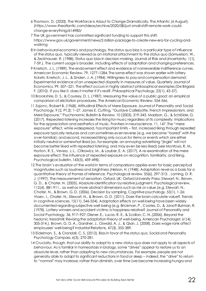- 6 Thomson, D. (2020). The Workforce Is About to Change Dramatically. The Atlantic (6 August). (https://www.theatlantic.com/ideas/archive/2020/08/just-small-shift-remote-work-couldchange-everything/614980/
- 7 The UK government has committed significant funding to support this shift: https://www.gov.uk/government/news/2-billion-package-to-create-new-era-for-cycling-andwalking
- 8 In behavioural economics and psychology, the status quo bias is a particular type of influence of the status quo, typically viewed as an irrational attachment to the status quo (Samuelson, W., & Zeckhauser, R. (1988). Status quo bias in decision making. Journal of Risk and Uncertainty, 1(1), 7-59.). The current usage is broader, including effects of adaptation and changing preferences.
- 9 Knetsch, J. L. (1989). The endowment effect and evidence of nonreversible indifference curves. American Economic Review, 79, 1277–1284. The same effect was shown earlier with lottery tickets: Knetsch, J. L., & Sinden, J. A. (1984). Willingness to pay and compensation demand: Experimental evidence of an unexpected disparity in measures of value. Quarterly Journal of Economics, 99, 507–521. The effect occurs in highly abstract philosophical examples (De Brigard, F. (2010). If you like it, does it matter if it's real?. Philosophical Psychology, 23(1), 43-57).
- 10 Brookshire, D. S., & Coursey, D. L. (1987). Measuring the value of a public good: an empirical comparison of elicitation procedures. The American Economic Review, 554-566.
- 11 Zajonc, Robert B. (1968). Attitudinal Effects of Mere Exposure. Journal of Personality and Social Psychology. 9 (2, Pt.2): 1–27. James E. Cutting, "Gustave Caillebotte, French Impressionism, and Mere Exposure," Psychonomic Bulletin & Review, 10 (2003), 319-343. Madison, G., & Schiölde, G. (2017). Repeated listening increases the liking for music regardless of its complexity: Implications for the appreciation and aesthetics of music. Frontiers in neuroscience, 11, 147. The "mere exposure" effect, while widespread, has important limits – first, increased liking through repeated exposure typically reduces and can sometimes even reverse (e.g. we become "bored" with the over-familiar); and second, increased liking only occurs for items or events which are either initially neutral or somewhat liked (so, for example, an annoying advertising "jingle" will not become better liked with repeated listening, and may even be less liked) (see Montoya, R. M., Horton, R. S., Vevea, J. L., Citkowicz, M., & Lauber, E. A. (2017). A re-examination of the mere exposure effect: The influence of repeated exposure on recognition, familiarity, and liking. Psychological bulletin, 143(5), 459-498).
- 12 The brain's evaluation of the world in terms of comparisons applies even for basic perceptual magnitudes such as loudness and brightness (Helson, H. (1948). Adaptation-level as a basis for a quantitative theory of frames of reference. Psychological review, 55(6), 297-313; , Laming, D. R. J. (1997). The measurement of sensation. Oxford, UK: Oxford University Press; Stewart, N., Brown, G. D., & Chater, N. (2005). Absolute identification by relative judgment. Psychological review, 112(4), 881-911., as well as more abstract dimensions such as risk or value (e.g. Stewart, N., Chater, N., & Brown, G. D. (2006). Decision by sampling. Cognitive psychology, 53(1), 1-26; Vlaev, I., Chater, N., Stewart, N., & Brown, G. D. (2011). Does the brain calculate value?. Trends in cognitive sciences, 15(11), 546-554). Adaptation effects on well-being have been widely documented regarding subjective well-being (e.g. Brickman, P., Coates, D., & Janoff-Bulman, R. (1978). Lottery winners and accident victims: Is happiness relative? Journal of Personality and Social Psychology, 36, 917–927; Diener, E., Lucas, R. E., & Scollon, C. N..(2006). Beyond the hedonic treadmill: Revising the adaptation theory of well-being. American Psychologist, 61(4), 305-314.). Brown, G. D. A., Gardner, J., Oswald, A. J., & Qian, J. (2008). Does wage rank affect employees' well-being? Industrial Relations, 47(3), 355-389.
- 13 Eidelman, S., & Crandall, C. S. (2012). Bias in favor of the status quo. Social and Personality Psychology Compass, 6(3), 270-281.
- 14 Crucially, though, that our ability to adapt to a new status quo does not apply to all aspects of behaviour. As is familiar in homeostasis in biology, some "drives" appear to restore us to an absolute level, rather than adapting to new circumstances. For example, people are not generally able to adapt to significant reductions in food or sleep – indeed, the "drive" to return to "normal" may increase, rather than diminish, over time (we become increasing hungry and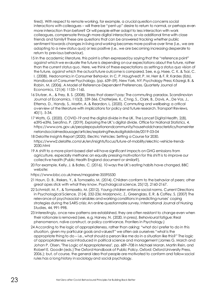tired). With respect to remote working, for example, a crucial question concerns social interactions with colleagues – will there be "pent up" desire to return to normal, or perhaps even more interaction than before? Or will people either adapt to less interaction with work colleagues, compensate through more digital interactions, or via additional time with close friends and family? These are questions that can be answered tracking whether public sentiment towards changes in living and working becomes more positive over time (i.e., we are adapting to a new status quo) or less positive (i.e., we are becoming increasing desperate to return to previous behaviour).

- 15 In the academic literature, this point is often expressed by saying that the "reference point" against which we evaluate the future is depending on our expectations about the future, rather than the current status quo. Here, we think of these expectations as setting a status quo vision of the future, against which the actual future outcome is compared. See, e.g. Hsee, C. K. & Tsai, C. I. (2008). Hedonomics in Consumer Behavior. In C. P. Haugtvedt, P. M. Herr & F. R. Kardes (Eds), Handbook of Consumer Psychology, (pp. 639–59). New York, NY: Psychology Press; Köszegi, B. & Rabin, M. (2006). A Model of Reference-Dependent Preferences. Quarterly Journal of Economics, 121(4): 1133–1165.
- 16 Stutzer, A., & Frey, B. S. (2008). Stress that doesn't pay: The commuting paradox. Scandinavian Journal of Economics, 110(2), 339-366. Chatterjee, K., Chng, S., Clark, B., Davis, A., De Vos, J., Ettema, D., Handy, S., Martin, A. & Reardon, L. (2020). Commuting and wellbeing: a critical overview of the literature with implications for policy and future research. Transport Reviews, 40(1), 5-34.
- 17 Watts, G. (2020). COVID-19 and the digital divide in the UK. The Lancet Digital Health, 2(8), e395-e396. Serafino, P. (2019). Exploring the UK's digital divide. Office for National Statistics, 4. https://www.ons.gov.uk/peoplepopulationandcommunity/householdcharacteristics/homeinter netandsocialmediausage/articles/exploringtheuksdigitaldivide/2019-03-04
- 18 Deloitte Insights Report (2020). Electric Vehicles: Setting a Course for 2030. https://www2.deloitte.com/uk/en/insights/focus/future-of-mobility/electric-vehicle-trends-2030.html
- 19 A shift to a more plant-based diet will have significant impacts on GHG emissions from agriculture, especially methane; an equally pressing motivation for this shift is to improve our collective health (Public Health England document or similar?).
- 20 For example, Kelly, J. & Bates, C. (2016). 10 ways the UK's eating habits have changed, BBC website:
- https://www.bbc.co.uk/news/magazine-35595530
- 21 Haun, D. B., Rekers, Y., & Tomasello, M. (2014). Children conform to the behavior of peers; other great apes stick with what they know. Psychological science, 25(12), 2160-2167.
- 22 Schmidt, M. F., & Tomasello, M. (2012). Young children enforce social norms. Current Directions in Psychological Science, 21(4), 232-236; Marjanovic, Z., Greenglass, E. R. & Coffey, S. (2007) The relevance of psychosocial variables and working conditions in predicting nurses' coping strategies during the SARS crisis: An online questionnaire survey. International Journal of Nursing Studies, 44, 991-998.
- 23 Interestingly, once new patterns are established, they are often resistant to change even when their rationale is removed (see, e.g. Harvey, N. (2020, in press). Behavioural fatigue: Real phenomenon, naïve construct, or policy contrivance. Frontiers in Psychology.)
- 24 According to the logic of appropriateness, rather than asking: "what do I prefer to do in this situation, given my particular goals and values?" we often ask ourselves "what is the appropriate thing to do – i.e., what should a person like me do in a situation like this?" The logic of appropriateness was introduced in political science and management (James G. March and Johan P. Olsen, "The Logic of Appropriateness", pp. 689–708 in Michael Moran, Martin Rein, and Robert E. Goodin (eds.) The Oxford Handbook of Public Policy. Oxford: Oxford University Press, 2006.); but, of course, the general idea that people are motivated to conform and follow social rules has a long history in sociology and social psychology.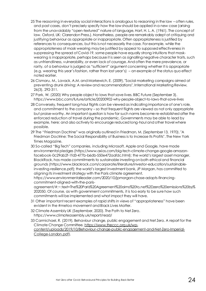- 25 The reasoning in everyday social interactions is analogous to reasoning in the law often rules, and past cases, don't precisely specify how the law should be applied in a new case (arising from the unavoidably "open-textured" nature of language, Hart, H. L. A. (1961). The concept of law. Oxford, UK: Clarendon Press.). Nonetheless, people are remarkably adept at critiquing and justifying behaviour as appropriate or inappropriate. Often appropriateness is justified by references to consequences, but this is not necessarily the case. For example, while the appropriateness of mask wearing may be justified by appeal to supposed effectiveness in suppressing the spread of Covid-19, some people have equally strong intuitions that maskwearing is inappropriate, perhaps because it is seen as signalling negative character traits, such as unfriendliness, vulnerability, or even lack of courage. And often the mere prevalence, or rarity, of a behaviour is judged as "sufficient" argument concerning whether it is appropriate (e.g. wearing this year's fashion, rather than last year's) – an example of the status quo effect noted earlier.
- 26 Cismaru, M., Lavack, A.M. and Markewich, E. (2009), "Social marketing campaigns aimed at preventing drunk driving: A review and recommendations", International Marketing Review, 26(3), 292-311.
- 27 Park, W. (2020) Why people object to laws that save lives. BBC Future (September 3). https://www.bbc.com/future/article/20200902-why-people-object-to-laws-that-save-lives
- 28 Conversely, frequent long-haul flights can be viewed as indicating importance of one's role, and commitment to the company – so that frequent flights are viewed as not only appropriate but praise-worthy. An important question is how far such norms become re-established after the enforced reduction of travel during the pandemic. Governments may be able to lead by example, here; and also actively to encourage reduced long-haul and other travel where possible.
- 29 The "Friedman Doctrine" was originally outlined in Friedman, M. (September 13, 1970). ["A](https://www.nytimes.com/1970/09/13/archives/a-friedman-doctrine-the-social-responsibility-of-business-is-to.html)  [Friedman Doctrine: The Social Responsibility of Business is to Increase Its Profits"](https://www.nytimes.com/1970/09/13/archives/a-friedman-doctrine-the-social-responsibility-of-business-is-to.html). [The New York](https://en.wikipedia.org/wiki/The_New_York_Times_Magazine)  [Times Magazine](https://en.wikipedia.org/wiki/The_New_York_Times_Magazine).
- 30 So-called "Big Tech" companies, including Microsoft, Apple and Google, have made environmental pledges (https://www.axios.com/big-tech-climate-change-google-amazonfacebook-0c29ab2f-1fd3-477b-b6db-550e472aafdc.html); the world's largest asset manager, BlackRock, has made commitments to sustainable investing on both ethical and financial grounds (https://www.blackrock.com/corporate/literature/investor-education/sustainableinvesting-resilience.pdf); the world's largest investment bank, JP Morgan, has committed to aligning its investment strategy with the Paris climate agreement.

https://www.environmentalleader.com/2020/10/jpmorgan-chase-adopts-financingcommitment-aligned-with-the-paris-

agreement/#:~:text=The%20Paris%20Agreement%20aims%20to,net%2Dzero%20emissions%20by% 202050. Of course, as with government commitments, it is too early to be sure how such commitments will be implemented and what impact they will have.

31 Other important recent examples of rapid shifts in views of "appropriateness" have been evident in the #metoo movement and Black Lives Matter.

32 Climate Assembly UK (September, 2020). The Path to Net Zero. https://www.climateassembly.uk/report/read/

33 Carmichael, R. (2019). Behaviour change, public engagement and Net Zero. A report for the Climate Change Committee[. https://www.theccc.org.uk/wp](https://www.theccc.org.uk/wp-content/uploads/2019/10/Behaviour-change-public-engagement-and-Net-Zero-Imperial-College-London.pdf)[content/uploads/2019/10/Behaviour-change-public-engagement-and-Net-Zero-Imperial-](https://www.theccc.org.uk/wp-content/uploads/2019/10/Behaviour-change-public-engagement-and-Net-Zero-Imperial-College-London.pdf)[College-London.pdf](https://www.theccc.org.uk/wp-content/uploads/2019/10/Behaviour-change-public-engagement-and-Net-Zero-Imperial-College-London.pdf)).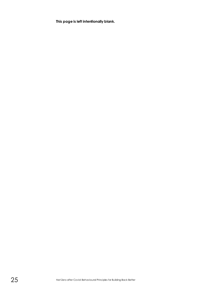**This page is left intentionally blank.**